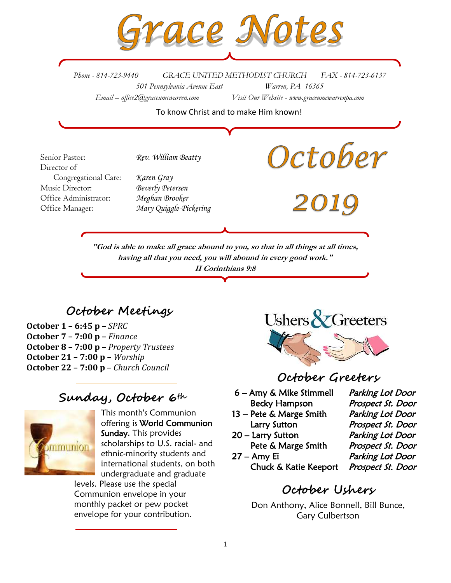

*Phone - 814-723-9440 GRACE UNITED METHODIST CHURCH FAX - 814-723-6137 501 Pennsylvania Avenue East Warren, PA 16365 Email – office2@graceumcwarren.com Visit Our Website - www.graceumcwarrenpa.com* 

To know Christ and to make Him known!

October Senior Pastor: *Rev. William Beatty* Director of Congregational Care: *Karen Gray* Music Director: *Beverly Petersen* Office Administrator: *Meghan Brooker* Office Manager: *Mary Quiggle-Pickering***"God is able to make all grace abound to you, so that in all things at all times, having all that you need, you will abound in every good work." II Corinthians 9:8**

# **October Meetings**

**October 1 – 6:45 p –** *SPRC* **October 7 – 7:00 p –** *Finance* **October 8 – 7:00 p –** *Property Trustees* **October 21 – 7:00 p –** *Worship* **October 22 – 7:00 p** – *Church Council*

# **Sunday, October 6th**



This month's Communion offering is World Communion Sunday. This provides scholarships to U.S. racial- and ethnic-minority students and international students, on both undergraduate and graduate levels. Please use the special

Communion envelope in your monthly packet or pew pocket envelope for your contribution.



# **October Greeters**

- 6 Amy & Mike Stimmell Parking Lot Door Becky Hampson Prospect St. Door
- 13 Pete & Marge Smith Parking Lot Door Larry Sutton Prospect St. Door
- 20 Larry Sutton Parking Lot Door Pete & Marge Smith Prospect St. Door
- 27 Amy Ei Parking Lot Door Chuck & Katie Keeport Prospect St. Door

# **October Ushers**

Don Anthony, Alice Bonnell, Bill Bunce, Gary Culbertson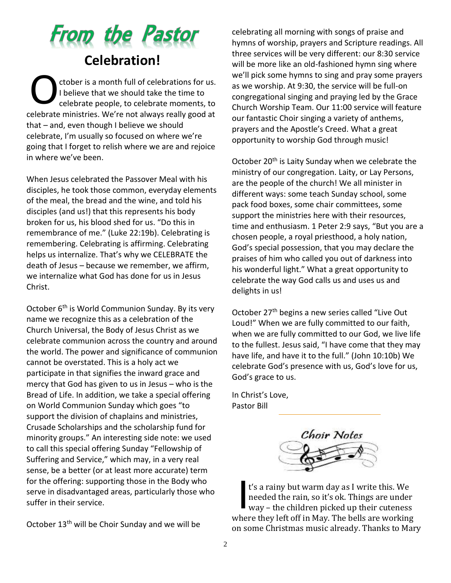

ctober is a month full of celebrations for us. I believe that we should take the time to celebrate people, to celebrate moments, to celebrate ministries. We're not always really good at that – and, even though I believe we should celebrate, I'm usually so focused on where we're going that I forget to relish where we are and rejoice in where we've been. O

When Jesus celebrated the Passover Meal with his disciples, he took those common, everyday elements of the meal, the bread and the wine, and told his disciples (and us!) that this represents his body broken for us, his blood shed for us. "Do this in remembrance of me." (Luke 22:19b). Celebrating is remembering. Celebrating is affirming. Celebrating helps us internalize. That's why we CELEBRATE the death of Jesus – because we remember, we affirm, we internalize what God has done for us in Jesus Christ.

October 6<sup>th</sup> is World Communion Sunday. By its very name we recognize this as a celebration of the Church Universal, the Body of Jesus Christ as we celebrate communion across the country and around the world. The power and significance of communion cannot be overstated. This is a holy act we participate in that signifies the inward grace and mercy that God has given to us in Jesus – who is the Bread of Life. In addition, we take a special offering on World Communion Sunday which goes "to support the division of chaplains and ministries, Crusade Scholarships and the scholarship fund for minority groups." An interesting side note: we used to call this special offering Sunday "Fellowship of Suffering and Service," which may, in a very real sense, be a better (or at least more accurate) term for the offering: supporting those in the Body who serve in disadvantaged areas, particularly those who suffer in their service.

October 13th will be Choir Sunday and we will be

celebrating all morning with songs of praise and hymns of worship, prayers and Scripture readings. All three services will be very different: our 8:30 service will be more like an old-fashioned hymn sing where we'll pick some hymns to sing and pray some prayers as we worship. At 9:30, the service will be full-on congregational singing and praying led by the Grace Church Worship Team. Our 11:00 service will feature our fantastic Choir singing a variety of anthems, prayers and the Apostle's Creed. What a great opportunity to worship God through music!

October 20<sup>th</sup> is Laity Sunday when we celebrate the ministry of our congregation. Laity, or Lay Persons, are the people of the church! We all minister in different ways: some teach Sunday school, some pack food boxes, some chair committees, some support the ministries here with their resources, time and enthusiasm. 1 Peter 2:9 says, "But you are a chosen people, a royal priesthood, a holy nation, God's special possession, that you may declare the praises of him who called you out of darkness into his wonderful light." What a great opportunity to celebrate the way God calls us and uses us and delights in us!

October 27<sup>th</sup> begins a new series called "Live Out Loud!" When we are fully committed to our faith, when we are fully committed to our God, we live life to the fullest. Jesus said, "I have come that they may have life, and have it to the full." (John 10:10b) We celebrate God's presence with us, God's love for us, God's grace to us.

In Christ's Love, Pastor Bill



t's a rainy but warm day as I write this. We needed the rain, so it's ok. Things are under way – the children picked up their cuteness where they left off in May. The bells are working on some Christmas music already. Thanks to Mary I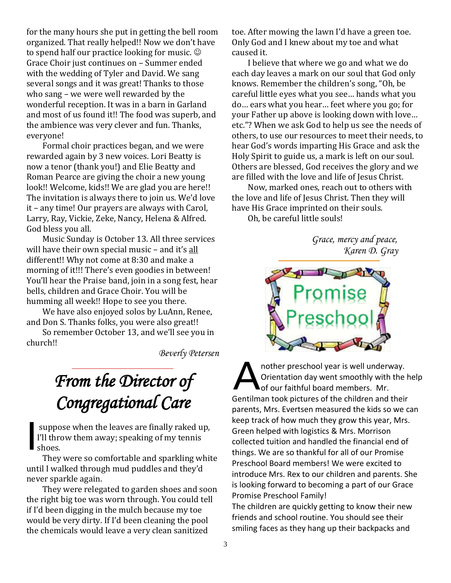for the many hours she put in getting the bell room organized. That really helped!! Now we don't have to spend half our practice looking for music.  $\odot$ Grace Choir just continues on – Summer ended with the wedding of Tyler and David. We sang several songs and it was great! Thanks to those who sang – we were well rewarded by the wonderful reception. It was in a barn in Garland and most of us found it!! The food was superb, and the ambience was very clever and fun. Thanks, everyone!

Formal choir practices began, and we were rewarded again by 3 new voices. Lori Beatty is now a tenor (thank you!) and Elie Beatty and Roman Pearce are giving the choir a new young look!! Welcome, kids!! We are glad you are here!! The invitation is always there to join us. We'd love it – any time! Our prayers are always with Carol, Larry, Ray, Vickie, Zeke, Nancy, Helena & Alfred. God bless you all.

Music Sunday is October 13. All three services will have their own special music - and it's all different!! Why not come at 8:30 and make a morning of it!!! There's even goodies in between! You'll hear the Praise band, join in a song fest, hear bells, children and Grace Choir. You will be humming all week!! Hope to see you there.

We have also enjoyed solos by LuAnn, Renee, and Don S. Thanks folks, you were also great!!

So remember October 13, and we'll see you in church!!

*Beverly Petersen*

# *From the Director of Congregational Care*

suppose when the leaves are finally raked up, I'll throw them away; speaking of my tennis shoes. I

They were so comfortable and sparkling white until I walked through mud puddles and they'd never sparkle again.

They were relegated to garden shoes and soon the right big toe was worn through. You could tell if I'd been digging in the mulch because my toe would be very dirty. If I'd been cleaning the pool the chemicals would leave a very clean sanitized

toe. After mowing the lawn I'd have a green toe. Only God and I knew about my toe and what caused it.

I believe that where we go and what we do each day leaves a mark on our soul that God only knows. Remember the children's song, "Oh, be careful little eyes what you see… hands what you do… ears what you hear… feet where you go; for your Father up above is looking down with love… etc."? When we ask God to help us see the needs of others, to use our resources to meet their needs, to hear God's words imparting His Grace and ask the Holy Spirit to guide us, a mark is left on our soul. Others are blessed, God receives the glory and we are filled with the love and life of Jesus Christ.

Now, marked ones, reach out to others with the love and life of Jesus Christ. Then they will have His Grace imprinted on their souls.

Oh, be careful little souls!

*Grace, mercy and peace, Karen D. Gray*



nother preschool year is well underway. Orientation day went smoothly with the help of our faithful board members. Mr. Gentilman took pictures of the children and their parents, Mrs. Evertsen measured the kids so we can keep track of how much they grow this year, Mrs. Green helped with logistics & Mrs. Morrison collected tuition and handled the financial end of things. We are so thankful for all of our Promise Preschool Board members! We were excited to introduce Mrs. Rex to our children and parents. She is looking forward to becoming a part of our Grace Promise Preschool Family! A

The children are quickly getting to know their new friends and school routine. You should see their smiling faces as they hang up their backpacks and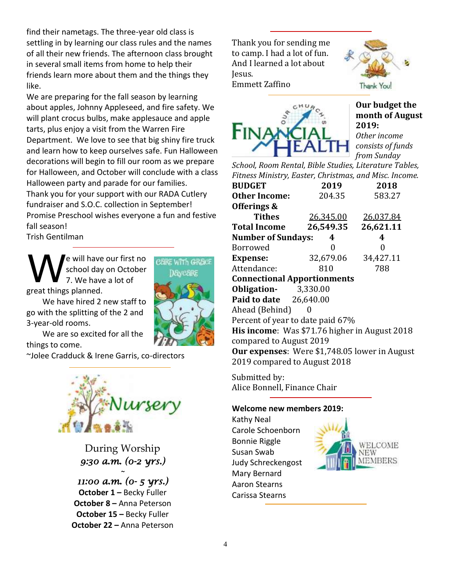find their nametags. The three-year old class is settling in by learning our class rules and the names of all their new friends. The afternoon class brought in several small items from home to help their friends learn more about them and the things they like.

We are preparing for the fall season by learning about apples, Johnny Appleseed, and fire safety. We will plant crocus bulbs, make applesauce and apple tarts, plus enjoy a visit from the Warren Fire Department. We love to see that big shiny fire truck and learn how to keep ourselves safe. Fun Halloween decorations will begin to fill our room as we prepare for Halloween, and October will conclude with a class Halloween party and parade for our families. Thank you for your support with our RADA Cutlery fundraiser and S.O.C. collection in September! Promise Preschool wishes everyone a fun and festive fall season!

Trish Gentilman

3-year-old rooms.

e will have our first no school day on October 7. We have a lot of great things planned. W

We have hired 2 new staff to go with the splitting of the 2 and

CARE WITH GRACE **19veARF** 

We are so excited for all the things to come.

~Jolee Cradduck & Irene Garris, co-directors



During Worship *9:30 a.m. (0-2 yrs.) ~* 

*11:00 a.m. (0- 5 yrs.)*  **October 1** *–* Becky Fuller **October 8 –** Anna Peterson **October 15 –** Becky Fuller **October 22 –** Anna Peterson Thank you for sending me to camp. I had a lot of fun. And I learned a lot about Jesus. Emmett Zaffino





**Our budget the month of August 2019:** *Other income consists of funds from Sunday* 

*School, Room Rental, Bible Studies, Literature Tables, Fitness Ministry, Easter, Christmas, and Misc. Income.*

| <b>BUDGET</b>                                        | 2019             | 2018      |  |  |  |  |
|------------------------------------------------------|------------------|-----------|--|--|--|--|
| <b>Other Income:</b>                                 | 204.35           | 583.27    |  |  |  |  |
| Offerings &                                          |                  |           |  |  |  |  |
| <b>Tithes</b>                                        | <u>26,345.00</u> | 26,037.84 |  |  |  |  |
| <b>Total Income</b>                                  | 26,549.35        | 26,621.11 |  |  |  |  |
| <b>Number of Sundays:</b>                            | 4                | 4         |  |  |  |  |
| Borrowed                                             | 0                | 0         |  |  |  |  |
| <b>Expense:</b>                                      | 32,679.06        | 34,427.11 |  |  |  |  |
| Attendance:                                          | 810              | 788       |  |  |  |  |
| <b>Connectional Apportionments</b>                   |                  |           |  |  |  |  |
| <b>Obligation-</b> 3,330.00                          |                  |           |  |  |  |  |
| <b>Paid to date</b> 26,640.00                        |                  |           |  |  |  |  |
| Ahead (Behind)                                       |                  |           |  |  |  |  |
| Percent of year to date paid 67%                     |                  |           |  |  |  |  |
| His income: Was \$71.76 higher in August 2018        |                  |           |  |  |  |  |
| compared to August 2019                              |                  |           |  |  |  |  |
| <b>Our expenses:</b> Were \$1,748.05 lower in August |                  |           |  |  |  |  |
| 2019 compared to August 2018                         |                  |           |  |  |  |  |
|                                                      |                  |           |  |  |  |  |

Submitted by: Alice Bonnell, Finance Chair

#### **Welcome new members 2019:**

Kathy Neal Carole Schoenborn Bonnie Riggle Susan Swab Judy Schreckengost Mary Bernard Aaron Stearns Carissa Stearns

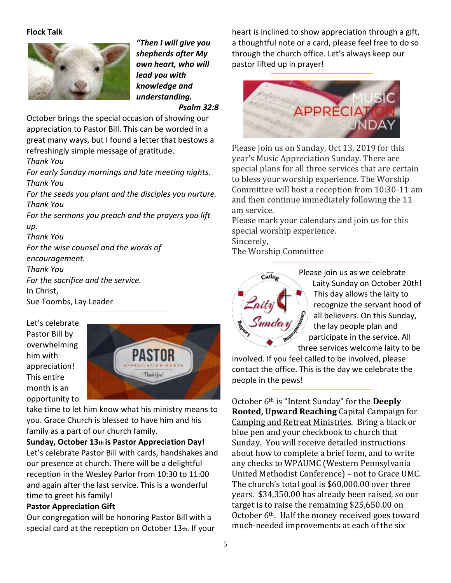#### **Flock Talk**



*"Then I will give you shepherds after My own heart, who will lead you with knowledge and understanding.*

*Psalm 32:8*

October brings the special occasion of showing our appreciation to Pastor Bill. This can be worded in a great many ways, but I found a letter that bestows a refreshingly simple message of gratitude.

*Thank You*

*For early Sunday mornings and late meeting nights. Thank You*

*For the seeds you plant and the disciples you nurture. Thank You*

*For the sermons you preach and the prayers you lift up.*

*Thank You For the wise counsel and the words of encouragement.*

*Thank You For the sacrifice and the service.* In Christ,

Sue Toombs, Lay Leader

Let's celebrate Pastor Bill by overwhelming him with appreciation! This entire month is an opportunity to



take time to let him know what his ministry means to you. Grace Church is blessed to have him and his family as a part of our church family.

## **Sunday, October 13th is Pastor Appreciation Day!**

Let's celebrate Pastor Bill with cards, handshakes and our presence at church. There will be a delightful reception in the Wesley Parlor from 10:30 to 11:00 and again after the last service. This is a wonderful time to greet his family!

#### **Pastor Appreciation Gift**

Our congregation will be honoring Pastor Bill with a special card at the reception on October 13th. If your

heart is inclined to show appreciation through a gift, a thoughtful note or a card, please feel free to do so through the church office. Let's always keep our pastor lifted up in prayer!



Please join us on Sunday, Oct 13, 2019 for this year's Music Appreciation Sunday. There are special plans for all three services that are certain to bless your worship experience. The Worship Committee will host a reception from 10:30-11 am and then continue immediately following the 11 am service.

Please mark your calendars and join us for this special worship experience. Sincerely,

The Worship Committee



Please join us as we celebrate Laity Sunday on October 20th! This day allows the laity to recognize the servant hood of all believers. On this Sunday, the lay people plan and participate in the service. All three services welcome laity to be

involved. If you feel called to be involved, please contact the office. This is the day we celebrate the people in the pews!

October 6th is "Intent Sunday" for the **Deeply Rooted, Upward Reaching** Capital Campaign for Camping and Retreat Ministries. Bring a black or blue pen and your checkbook to church that Sunday. You will receive detailed instructions about how to complete a brief form, and to write any checks to WPAUMC (Western Pennsylvania United Methodist Conference) – not to Grace UMC. The church's total goal is \$60,000.00 over three years. \$34,350.00 has already been raised, so our target is to raise the remaining \$25,650.00 on October 6<sup>th</sup>. Half the money received goes toward much-needed improvements at each of the six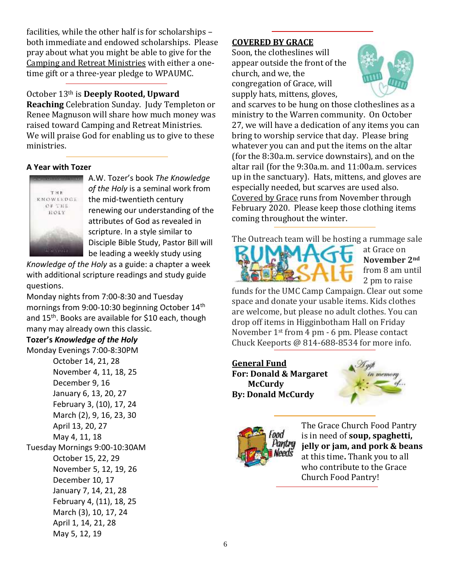facilities, while the other half is for scholarships – both immediate and endowed scholarships. Please pray about what you might be able to give for the Camping and Retreat Ministries with either a onetime gift or a three-year pledge to WPAUMC.

## October 13th is **Deeply Rooted, Upward**

**Reaching** Celebration Sunday. Judy Templeton or Renee Magnuson will share how much money was raised toward Camping and Retreat Ministries. We will praise God for enabling us to give to these ministries.

## **A Year with Tozer**



A.W. Tozer's book *The Knowledge of the Holy* is a seminal work from the mid-twentieth century renewing our understanding of the attributes of God as revealed in scripture. In a style similar to Disciple Bible Study, Pastor Bill will be leading a weekly study using

*Knowledge of the Holy* as a guide: a chapter a week with additional scripture readings and study guide questions.

Monday nights from 7:00-8:30 and Tuesday mornings from 9:00-10:30 beginning October 14<sup>th</sup> and 15<sup>th</sup>. Books are available for \$10 each, though many may already own this classic.

## **Tozer's** *Knowledge of the Holy*

Monday Evenings 7:00-8:30PM October 14, 21, 28 November 4, 11, 18, 25 December 9, 16 January 6, 13, 20, 27 February 3, (10), 17, 24 March (2), 9, 16, 23, 30 April 13, 20, 27 May 4, 11, 18 Tuesday Mornings 9:00-10:30AM October 15, 22, 29 November 5, 12, 19, 26 December 10, 17 January 7, 14, 21, 28 February 4, (11), 18, 25 March (3), 10, 17, 24 April 1, 14, 21, 28 May 5, 12, 19

## **COVERED BY GRACE**

Soon, the clotheslines will appear outside the front of the church, and we, the congregation of Grace, will supply hats, mittens, gloves,



and scarves to be hung on those clotheslines as a ministry to the Warren community. On October 27, we will have a dedication of any items you can bring to worship service that day. Please bring whatever you can and put the items on the altar (for the 8:30a.m. service downstairs), and on the altar rail (for the 9:30a.m. and 11:00a.m. services up in the sanctuary). Hats, mittens, and gloves are especially needed, but scarves are used also. Covered by Grace runs from November through February 2020. Please keep those clothing items coming throughout the winter.

The Outreach team will be hosting a rummage sale



at Grace on **November 2nd** from 8 am until 2 pm to raise

funds for the UMC Camp Campaign. Clear out some space and donate your usable items. Kids clothes are welcome, but please no adult clothes. You can drop off items in Higginbotham Hall on Friday November 1st from 4 pm - 6 pm. Please contact Chuck Keeports @ 814-688-8534 for more info.

**General Fund For: Donald & Margaret McCurdy By: Donald McCurdy**





The Grace Church Food Pantry is in need of **soup, spaghetti, jelly or jam, and pork & beans** at this time**.** Thank you to all who contribute to the Grace Church Food Pantry!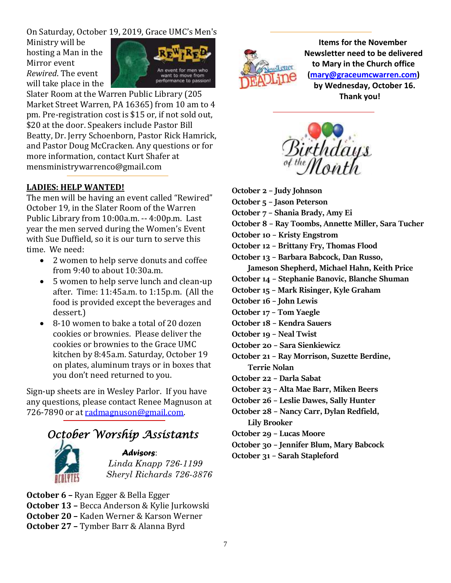On Saturday, October 19, 2019, Grace UMC's Men's

Ministry will be hosting a Man in the Mirror event *Rewired*. The event will take place in the



Slater Room at the Warren Public Library (205 Market Street Warren, PA 16365) from 10 am to 4 pm. Pre-registration cost is \$15 or, if not sold out, \$20 at the door. Speakers include Pastor Bill Beatty, Dr. Jerry Schoenborn, Pastor Rick Hamrick, and Pastor Doug McCracken. Any questions or for more information, contact Kurt Shafer at mensministrywarrenco@gmail.com

## **LADIES: HELP WANTED!**

The men will be having an event called "Rewired" October 19, in the Slater Room of the Warren Public Library from 10:00a.m. -- 4:00p.m. Last year the men served during the Women's Event with Sue Duffield, so it is our turn to serve this time. We need:

- 2 women to help serve donuts and coffee from 9:40 to about 10:30a.m.
- 5 women to help serve lunch and clean-up after. Time: 11:45a.m. to 1:15p.m. (All the food is provided except the beverages and dessert.)
- 8-10 women to bake a total of 20 dozen cookies or brownies. Please deliver the cookies or brownies to the Grace UMC kitchen by 8:45a.m. Saturday, October 19 on plates, aluminum trays or in boxes that you don't need returned to you.

Sign-up sheets are in Wesley Parlor. If you have any questions, please contact Renee Magnuson at 726-7890 or at [radmagnuson@gmail.com.](mailto:radmagnuson@gmail.com)

# *October Worship Assistants*



#### *Advisors*: *Linda Knapp 726-1199 Sheryl Richards 726-3876*

**October 6 –** Ryan Egger & Bella Egger **October 13 –** Becca Anderson & Kylie Jurkowski **October 20 –** Kaden Werner & Karson Werner **October 27 –** Tymber Barr & Alanna Byrd



 **Items for the November Newsletter need to be delivered to Mary in the Church office [\(mary@graceumcwarren.com\)](mailto:mary@graceumcwarren.com) by Wednesday, October 16. Thank you!**



- **October 2 – Judy Johnson**
- **October 5 – Jason Peterson**
- **October 7 – Shania Brady, Amy Ei**
- **October 8 – Ray Toombs, Annette Miller, Sara Tucher**
- **October 10 – Kristy Engstrom**
- **October 12 – Brittany Fry, Thomas Flood**
- **October 13 – Barbara Babcock, Dan Russo,**
- **Jameson Shepherd, Michael Hahn, Keith Price**
- **October 14 – Stephanie Banovic, Blanche Shuman**
- **October 15 – Mark Risinger, Kyle Graham**
- **October 16 – John Lewis**
- **October 17 – Tom Yaegle**
- **October 18 – Kendra Sauers**
- **October 19 – Neal Twist**
- **October 20 – Sara Sienkiewicz**
- **October 21 – Ray Morrison, Suzette Berdine, Terrie Nolan**
- **October 22 – Darla Sabat**
- **October 23 – Alta Mae Barr, Miken Beers**
- **October 26 – Leslie Dawes, Sally Hunter**
- **October 28 – Nancy Carr, Dylan Redfield, Lily Brooker**
- **October 29 – Lucas Moore**
- **October 30 – Jennifer Blum, Mary Babcock**
- **October 31 – Sarah Stapleford**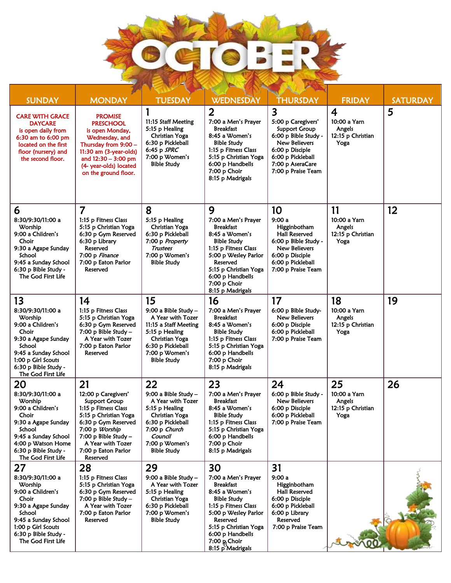

| <b>SUNDAY</b>                                                                                                                                                                                 | <b>MONDAY</b>                                                                                                                                                                                                                 | <b>TUESDAY</b>                                                                                                                                                               | <b>WEDNESDAY</b>                                                                                                                                                                                                                             | <b>THURSDAY</b>                                                                                                                                                                                  | <b>FRIDAY</b>                                                         | <b>SATURDAY</b> |
|-----------------------------------------------------------------------------------------------------------------------------------------------------------------------------------------------|-------------------------------------------------------------------------------------------------------------------------------------------------------------------------------------------------------------------------------|------------------------------------------------------------------------------------------------------------------------------------------------------------------------------|----------------------------------------------------------------------------------------------------------------------------------------------------------------------------------------------------------------------------------------------|--------------------------------------------------------------------------------------------------------------------------------------------------------------------------------------------------|-----------------------------------------------------------------------|-----------------|
| <b>CARE WITH GRACE</b><br><b>DAYCARE</b><br>is open daily from<br>6:30 am to 6:00 pm<br>located on the first<br>floor (nursery) and<br>the second floor.                                      | <b>PROMISE</b><br><b>PRESCHOOL</b><br>is open Monday,<br>Wednesday, and<br>Thursday from 9:00 -<br>11:30 am (3-year-olds)<br>and $12:30 - 3:00$ pm<br>(4- year-olds) located<br>on the ground floor.                          | 11:15 Staff Meeting<br>5:15 p Healing<br>Christian Yoga<br>6:30 p Pickleball<br>6:45 p $SPRC$<br>7:00 p Women's<br><b>Bible Study</b>                                        | $\overline{2}$<br>7:00 a Men's Prayer<br><b>Breakfast</b><br>8:45 a Women's<br><b>Bible Study</b><br>1:15 p Fitness Class<br>5:15 p Christian Yoga<br>6:00 p Handbells<br>7:00 p Choir<br>8:15 p Madrigals                                   | $\overline{\mathbf{3}}$<br>5:00 p Caregivers'<br><b>Support Group</b><br>6:00 p Bible Study -<br>New Believers<br>6:00 p Disciple<br>6:00 p Pickleball<br>7:00 p AseraCare<br>7:00 p Praise Team | $\overline{4}$<br>10:00 a Yarn<br>Angels<br>12:15 p Christian<br>Yoga | 5               |
| 6<br>8:30/9:30/11:00 a<br>Worship<br>9:00 a Children's<br>Choir<br>9:30 a Agape Sunday<br>School<br>9:45 a Sunday School<br>6:30 p Bible Study -<br>The God First Life                        | 7<br>1:15 p Fitness Class<br>5:15 p Christian Yoga<br>6:30 p Gym Reserved<br>6:30 p Library<br>Reserved<br>7:00 p Finance<br>7:00 p Eaton Parlor<br>Reserved                                                                  | 8<br>5:15 p Healing<br>Christian Yoga<br>6:30 p Pickleball<br>7:00 p Property<br>Trustees<br>7:00 p Women's<br><b>Bible Study</b>                                            | 9<br>7:00 a Men's Prayer<br><b>Breakfast</b><br>8:45 a Women's<br>Bible Study<br>1:15 p Fitness Class<br>5:00 p Wesley Parlor<br>Reserved<br>5:15 p Christian Yoga<br>6:00 p Handbells<br>7:00 p Choir<br>8:15 p Madrigals                   | 10<br>9:00a<br>Higginbotham<br>Hall Reserved<br>6:00 p Bible Study -<br>New Believers<br>6:00 p Disciple<br>6:00 p Pickleball<br>7:00 p Praise Team                                              | 11<br>10:00 a Yarn<br>Angels<br>12:15 p Christian<br>Yoga             | 12              |
| 13<br>8:30/9:30/11:00 a<br>Worship<br>9:00 a Children's<br>Choir<br>9:30 a Agape Sunday<br>School<br>9:45 a Sunday School<br>1:00 p Girl Scouts<br>6:30 p Bible Study -<br>The God First Life | 14<br>1:15 p Fitness Class<br>5:15 p Christian Yoga<br>6:30 p Gym Reserved<br>$7:00$ p Bible Study -<br>A Year with Tozer<br>7:00 p Eaton Parlor<br>Reserved                                                                  | 15<br>9:00 a Bible Study $-$<br>A Year with Tozer<br>11:15 a Staff Meeting<br>5:15 p Healing<br>Christian Yoga<br>6:30 p Pickleball<br>7:00 p Women's<br><b>Bible Study</b>  | 16<br>7:00 a Men's Prayer<br><b>Breakfast</b><br>8:45 a Women's<br><b>Bible Study</b><br>1:15 p Fitness Class<br>5:15 p Christian Yoga<br>6:00 p Handbells<br>7:00 p Choir<br>8:15 p Madrigals                                               | 17<br>6:00 p Bible Study-<br>New Believers<br>6:00 p Disciple<br>6:00 p Pickleball<br>7:00 p Praise Team                                                                                         | 18<br>10:00 a Yarn<br>Angels<br>12:15 p Christian<br>Yoga             | 19              |
| 20<br>8:30/9:30/11:00 a<br>Worship<br>9:00 a Children's<br>Choir<br>9:30 a Agape Sunday<br>School<br>9:45 a Sunday School<br>4:00 p Watson Home<br>6:30 p Bible Study -<br>The God First Life | 21<br>12:00 p Caregivers'<br><b>Support Group</b><br>1:15 p Fitness Class<br>5:15 p Christian Yoga<br>6:30 p Gym Reserved<br>7:00 p Worship<br>$7:00$ p Bible Study -<br>A Year with Tozer<br>7:00 p Eaton Parlor<br>Reserved | 22<br>9:00 a Bible Study -<br>A Year with Tozer<br>5:15 p Healing<br>Christian Yoga<br>6:30 p Pickleball<br>7:00 p Church<br>Council<br>7:00 p Women's<br><b>Bible Study</b> | 23<br>7:00 a Men's Prayer<br><b>Breakfast</b><br>8:45 a Women's<br><b>Bible Study</b><br>1:15 p Fitness Class<br>5:15 p Christian Yoga<br>6:00 p Handbells<br>7:00 p Choir<br>8:15 p Madrigals                                               | 24<br>6:00 p Bible Study -<br>New Believers<br>6:00 p Disciple<br>6:00 p Pickleball<br>7:00 p Praise Team                                                                                        | 25<br>10:00 a Yarn<br>Angels<br>12:15 p Christian<br>Yoga             | 26              |
| 27<br>8:30/9:30/11:00 a<br>Worship<br>9:00 a Children's<br>Choir<br>9:30 a Agape Sunday<br>School<br>9:45 a Sunday School<br>1:00 p Girl Scouts<br>6:30 p Bible Study -<br>The God First Life | 28<br>1:15 p Fitness Class<br>5:15 p Christian Yoga<br>6:30 p Gym Reserved<br>$7:00$ p Bible Study -<br>A Year with Tozer<br>7:00 p Eaton Parlor<br>Reserved                                                                  | 29<br>9:00 a Bible Study -<br>A Year with Tozer<br>5:15 p Healing<br>Christian Yoga<br>6:30 p Pickleball<br>7:00 p Women's<br><b>Bible Study</b>                             | 30<br>7:00 a Men's Prayer<br><b>Breakfast</b><br>8:45 a Women's<br><b>Bible Study</b><br>1:15 p Fitness Class<br>5:00 p Wesley Parlor<br>Reserved<br>5:15 p Christian Yoga<br>6:00 p Handbells<br>7:00 $R_{\rm g}$ Choir<br>8:15 p Madrigals | 31<br>9:00 a<br>Higginbotham<br>Hall Reserved<br>6:00 p Disciple<br>6:00 p Pickleball<br>6:00 p Library<br>Reserved<br>7:00 p Praise Team                                                        |                                                                       |                 |